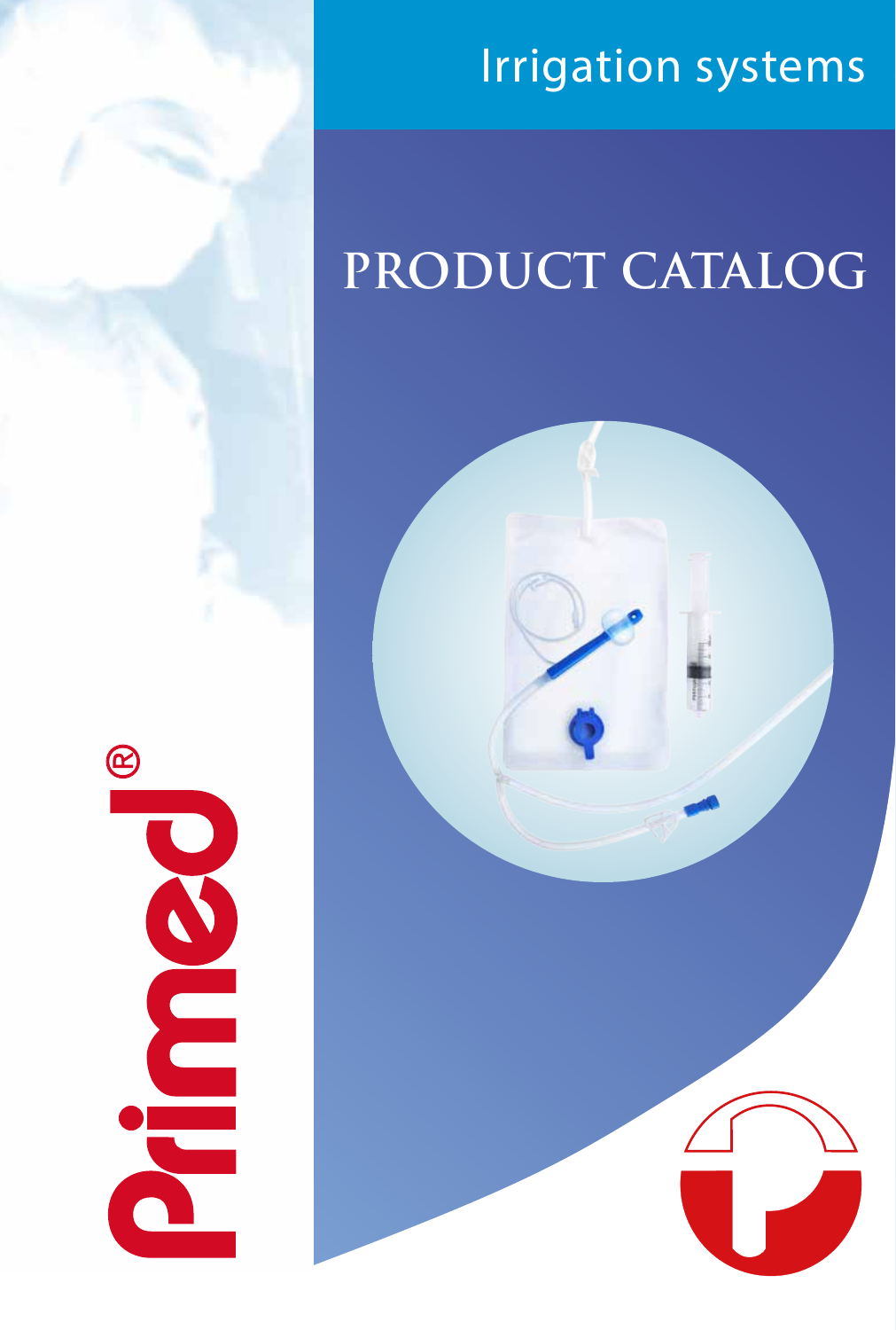

## **Irrigation systems**

# **PRODUCT CATALOG**

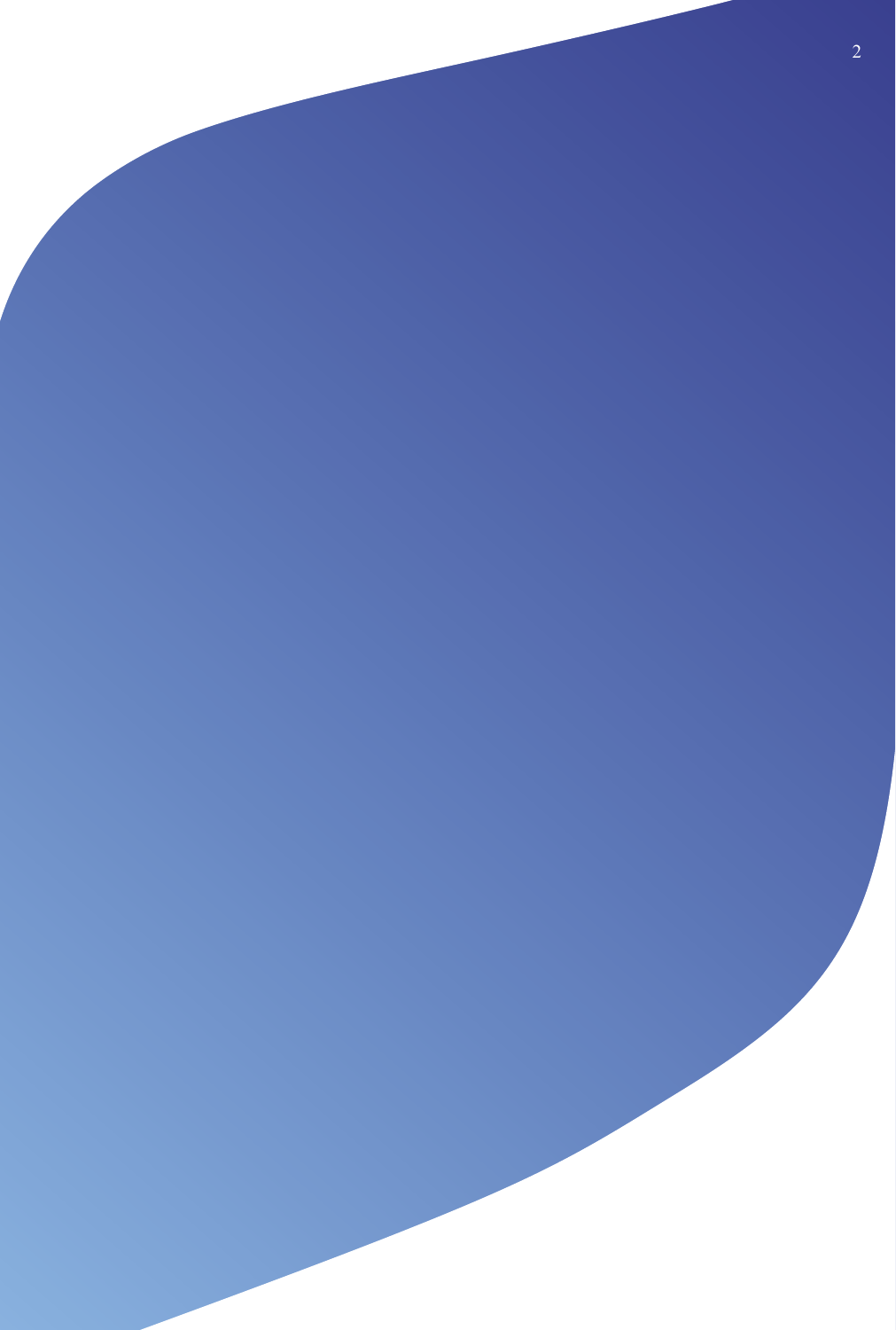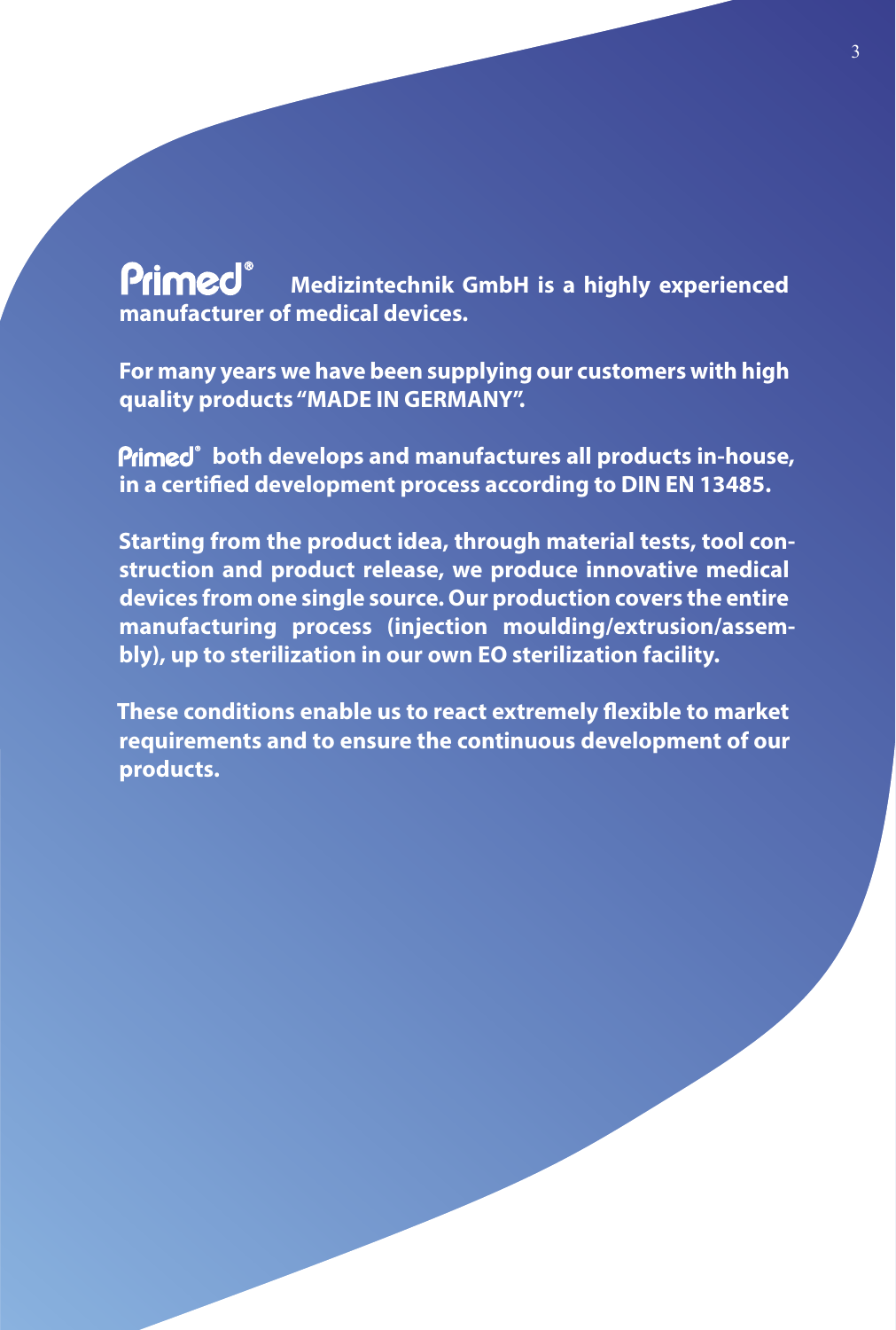**Primed**<sup>®</sup> Medizintechnik GmbH is a highly experienced **manufacturer of medical devices.**

**For many years we have been supplying our customers with high quality products "MADE IN GERMANY".**

**Primed** both develops and manufactures all products in-house, **in a certified development process according to DIN EN 13485.**

**Starting from the product idea, through material tests, tool construction and product release, we produce innovative medical devices from one single source. Our production covers the entire manufacturing process (injection moulding/extrusion/assembly), up to sterilization in our own EO sterilization facility.**

**These conditions enable us to react extremely flexible to market requirements and to ensure the continuous development of our products.**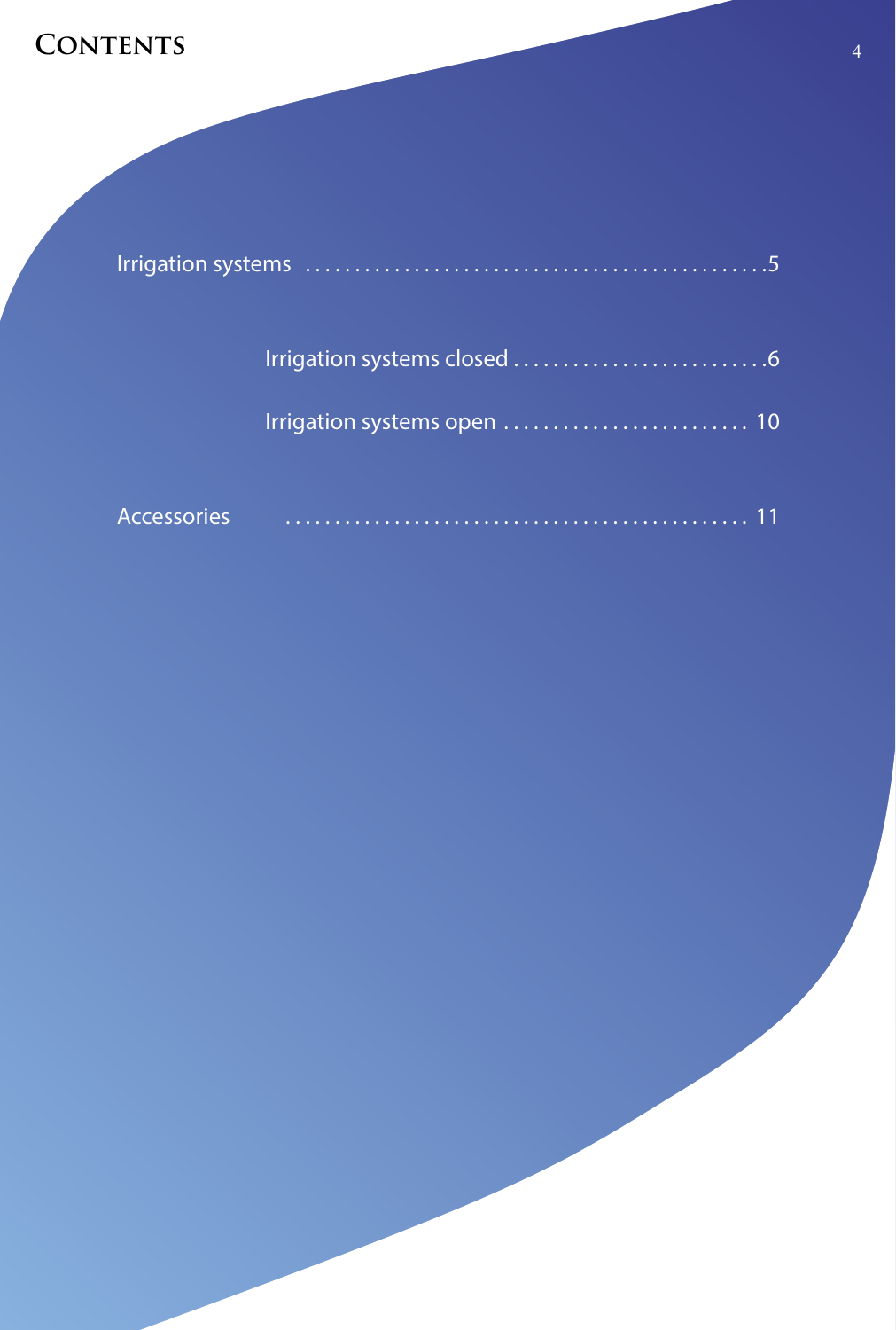## **CONTENTS** 4

| <b>Accessories</b> |  |
|--------------------|--|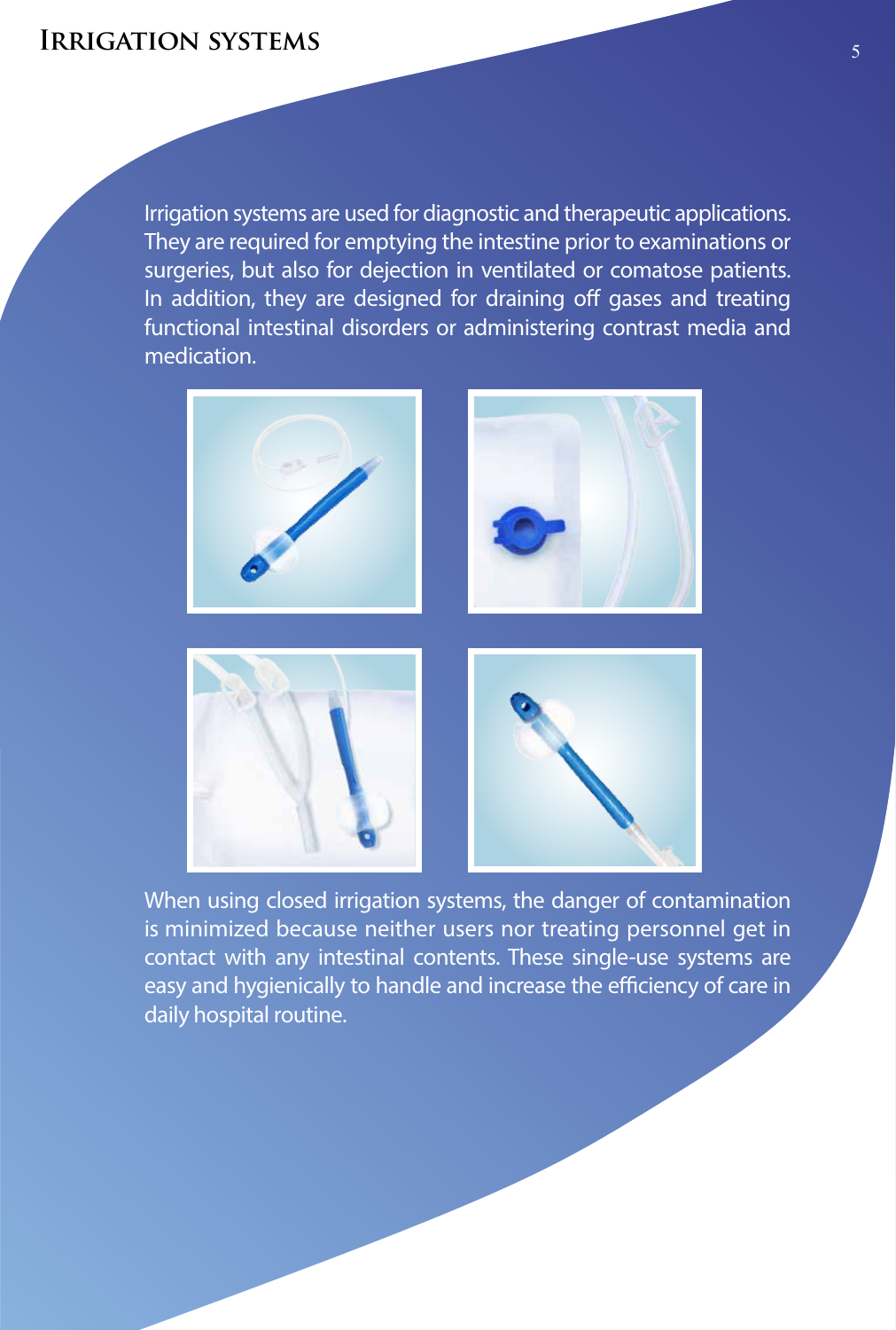## **IRRIGATION SYSTEMS**

Irrigation systems are used for diagnostic and therapeutic applications. They are required for emptying the intestine prior to examinations or surgeries, but also for dejection in ventilated or comatose patients. In addition, they are designed for draining off gases and treating functional intestinal disorders or administering contrast media and medication.



When using closed irrigation systems, the danger of contamination is minimized because neither users nor treating personnel get in contact with any intestinal contents. These single-use systems are easy and hygienically to handle and increase the efficiency of care in daily hospital routine.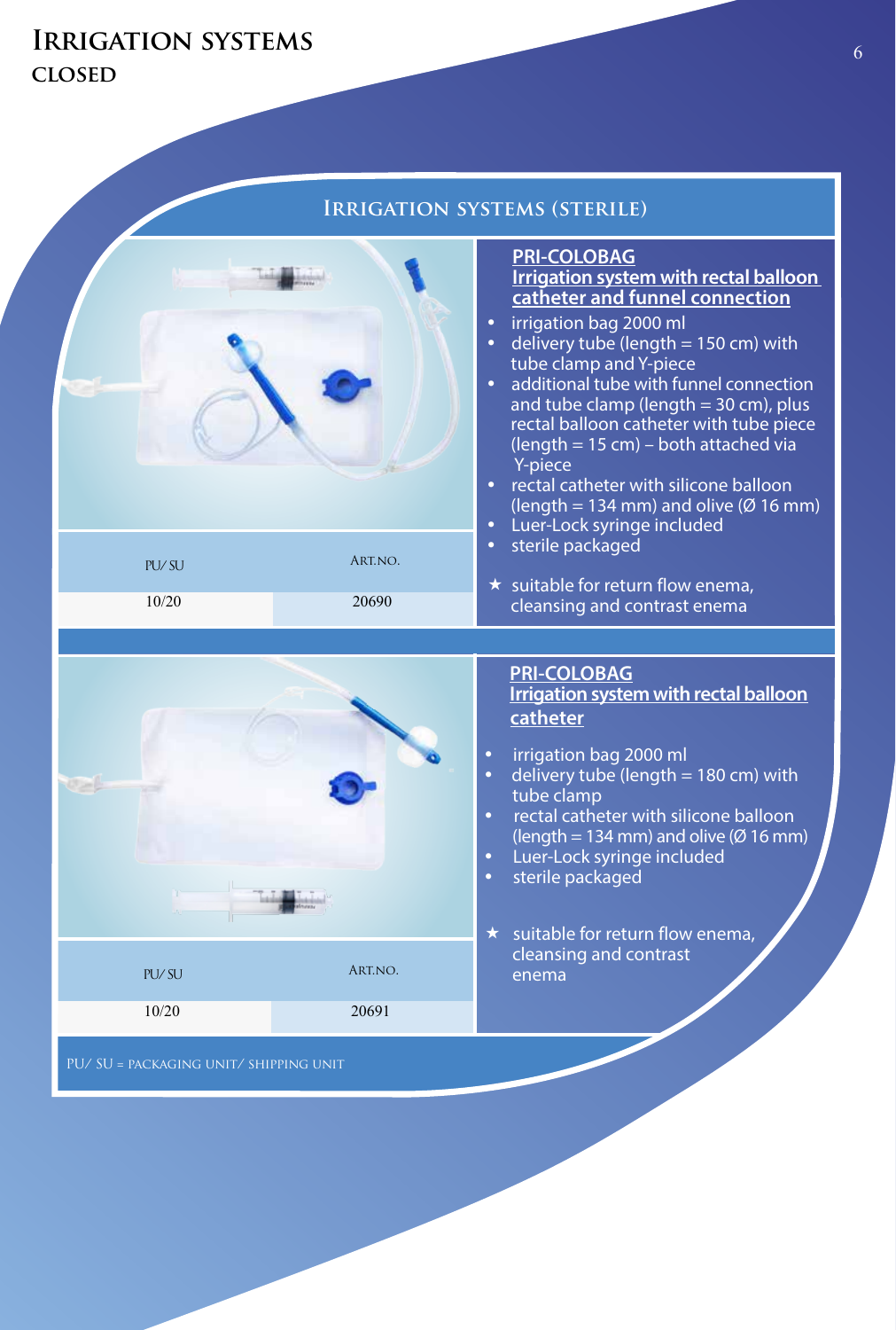## **IRRIGATION SYSTEMS closed**

#### **Irrigation systems (sterile)**



## **PRI-COLOBAG**<br>**Irrigation system with rectal balloon catheter and funnel connection**

- irrigation bag 2000 ml
- delivery tube (length  $= 150$  cm) with tube clamp and Y-piece
- additional tube with funnel connection and tube clamp (length  $=$  30 cm), plus rectal balloon catheter with tube piece (length = 15 cm) – both attached via Y-piece
- rectal catheter with silicone balloon (length = 134 mm) and olive ( $\varnothing$  16 mm)
- Luer-Lock syringe included
- sterile packaged
- $\star$  suitable for return flow enema, cleansing and contrast enema



#### **PRI-COLOBAG Irrigation system with rectal balloon catheter**

- irrigation bag 2000 ml
- delivery tube (length  $= 180$  cm) with tube clamp
- rectal catheter with silicone balloon (length = 134 mm) and olive ( $\varnothing$  16 mm)
- Luer-Lock syringe included
- sterile packaged
- $\star$  suitable for return flow enema, cleansing and contrast enema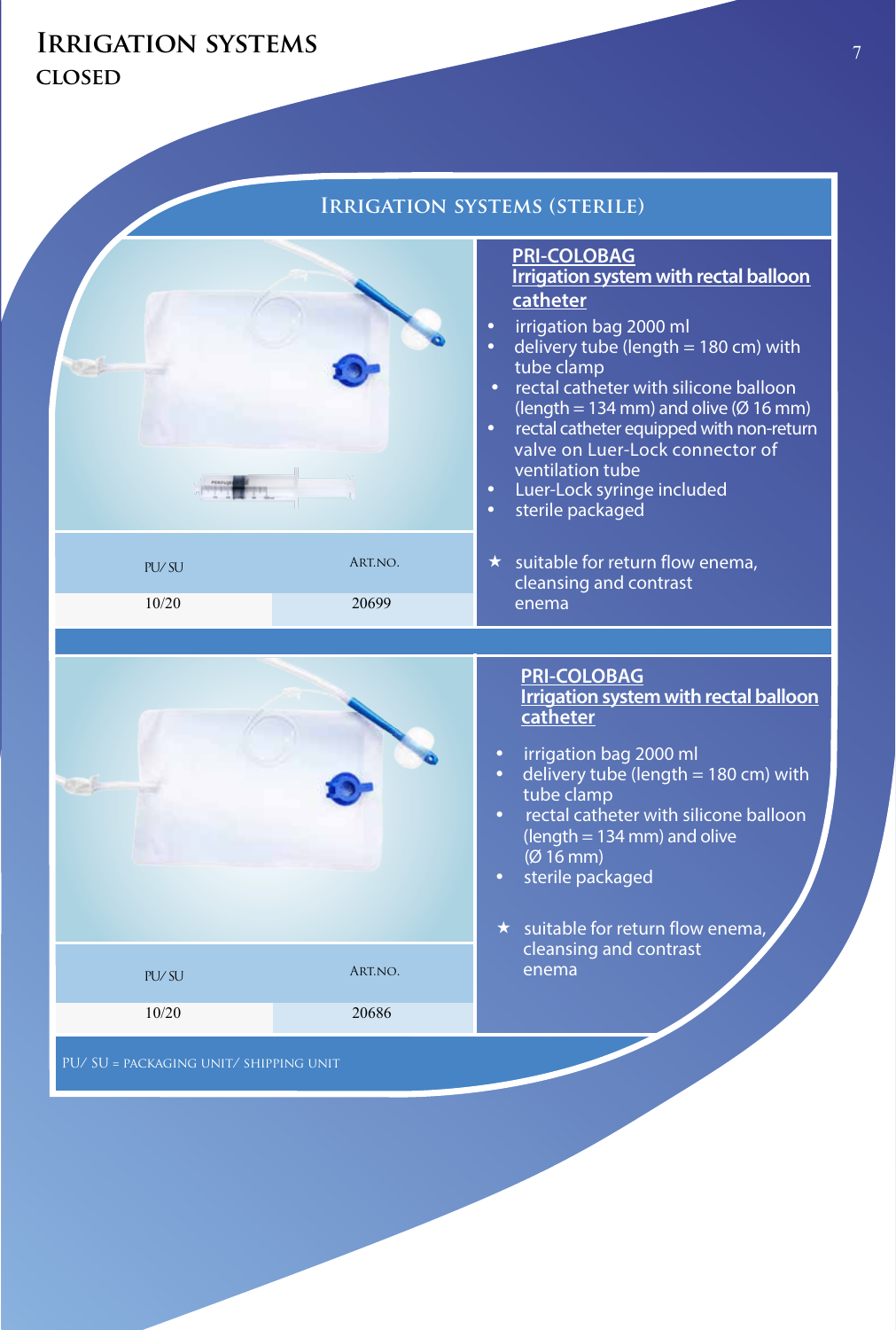## **Irrigation systems closed**

#### **Irrigation systems (sterile)**





 **PRI-COLOBAG Irrigation system with rectal balloon catheter**

- irrigation bag 2000 ml
- delivery tube (length  $= 180$  cm) with tube clamp
- rectal catheter with silicone balloon (length = 134 mm) and olive (Ø 16 mm)
- sterile packaged

 $\star$  suitable for return flow enema, cleansing and contrast enema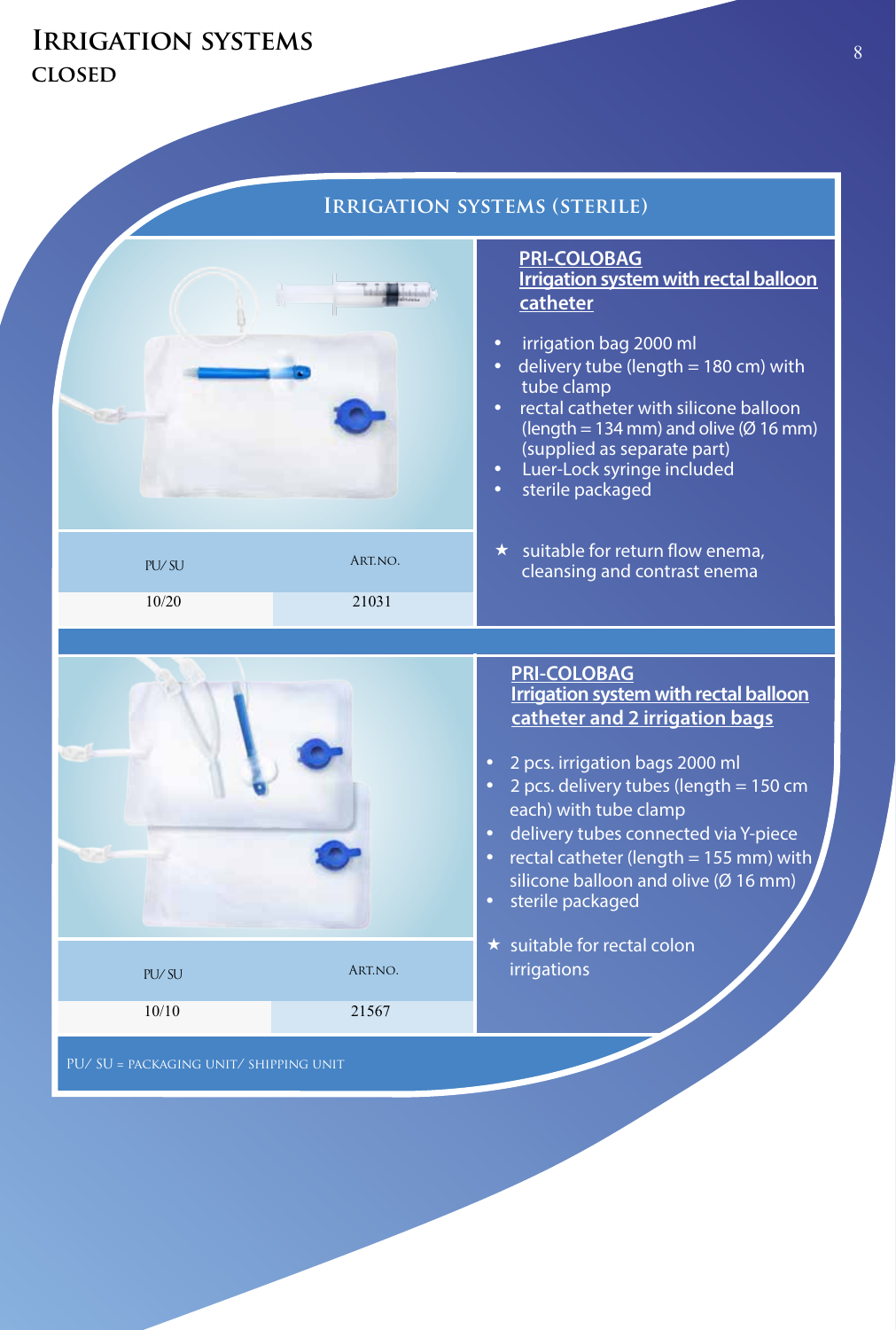## **Irrigation systems closed**







#### **PRI-COLOBAG Irrigation system with rectal balloon catheter and 2 irrigation bags**

- 2 pcs. irrigation bags 2000 ml
- 2 pcs. delivery tubes (length  $= 150$  cm each) with tube clamp
- delivery tubes connected via Y-piece
- rectal catheter (length = 155 mm) with silicone balloon and olive  $(\emptyset 16$  mm)
- sterile packaged
- $\star$  suitable for rectal colon irrigations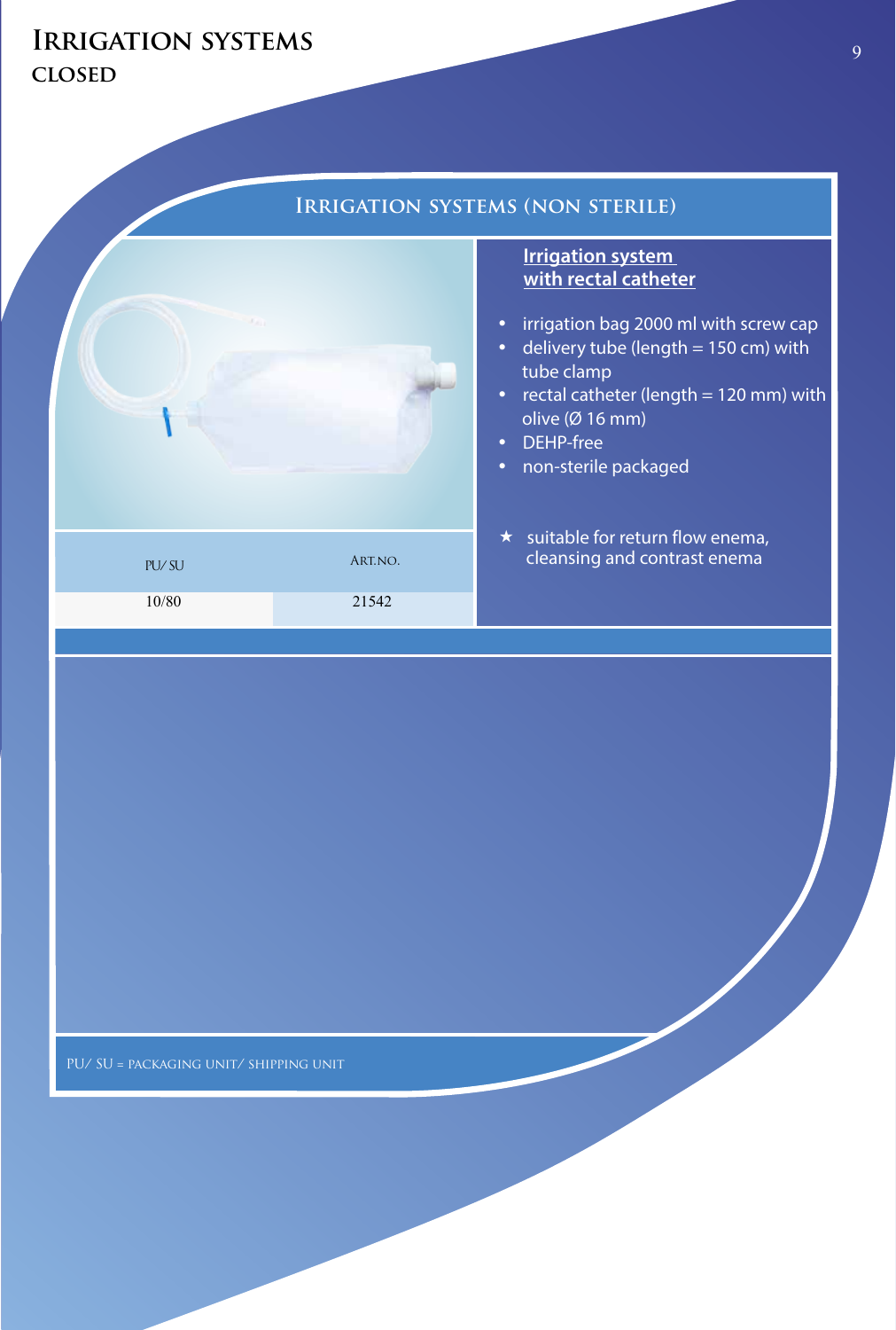## <sup>9</sup> **Irrigation systems closed**

#### **Irrigation systems (non sterile)**



#### **Irrigation system with rectal catheter**

- irrigation bag 2000 ml with screw cap
- delivery tube (length  $= 150$  cm) with tube clamp
- rectal catheter (length  $= 120$  mm) with olive (Ø 16 mm)
- DEHP-free
- non-sterile packaged
- $\star$  suitable for return flow enema, cleansing and contrast enema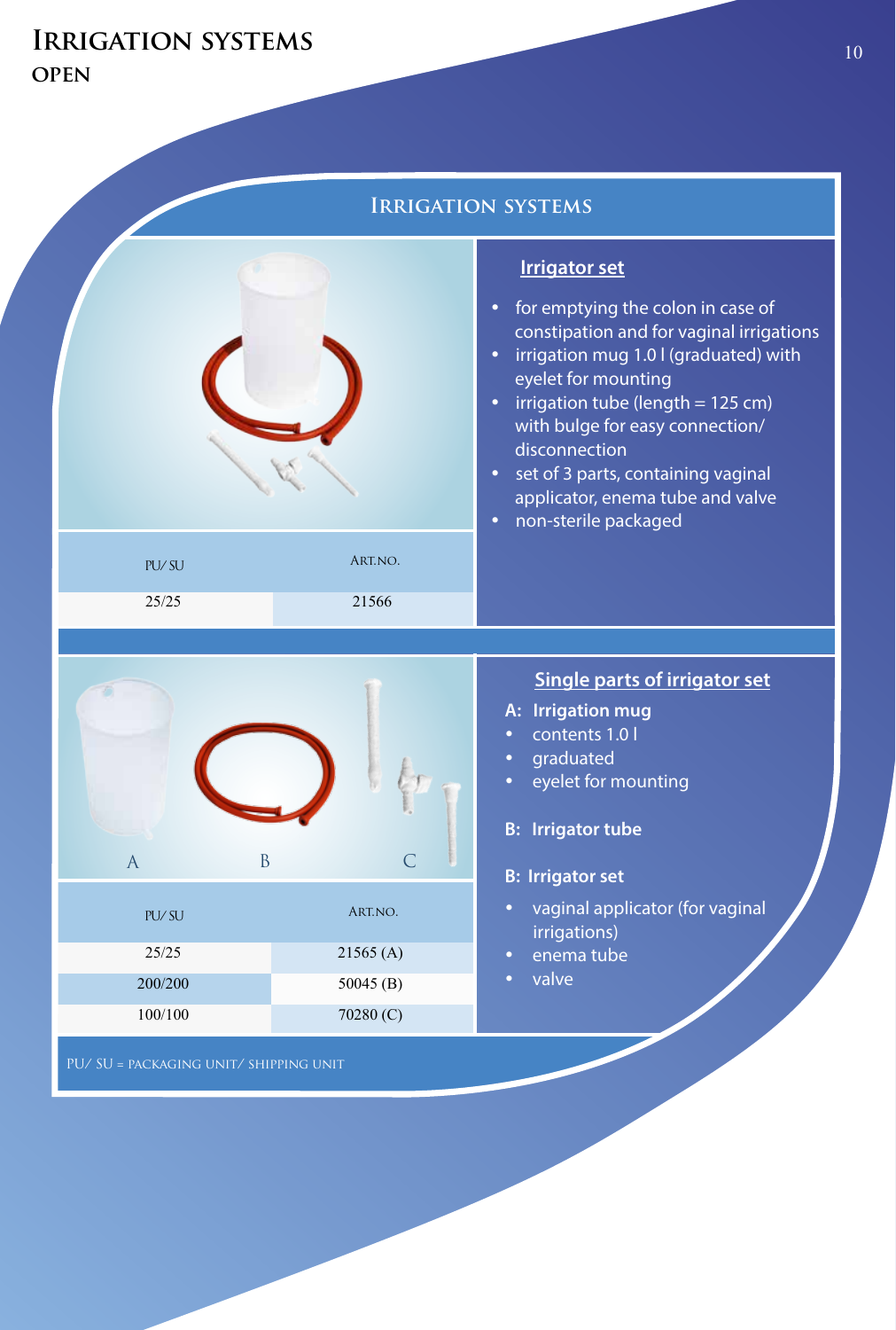## **IRRIGATION SYSTEMS** 10 **open**

#### **Irrigation systems**



#### **Irrigator set**

- for emptying the colon in case of constipation and for vaginal irrigations
- irrigation mug 1.0 l (graduated) with eyelet for mounting
- $\bullet$  irrigation tube (length = 125 cm) with bulge for easy connection/ disconnection
- set of 3 parts, containing vaginal applicator, enema tube and valve
- non-sterile packaged

#### **Single parts of irrigator set**

- **A: Irrigation mug**
- contents 1.0 l
- graduated
- eyelet for mounting
- **B: Irrigator tube**
- **B: Irrigator set**
- vaginal applicator (for vaginal irrigations)
- enema tube
- valve

ART.NO.

PU/ SU = packaging unit/ shipping unit

25/25 21565 (A) 200/200 50045 (B) 100/100 70280 (C)

A B C

PU/ SU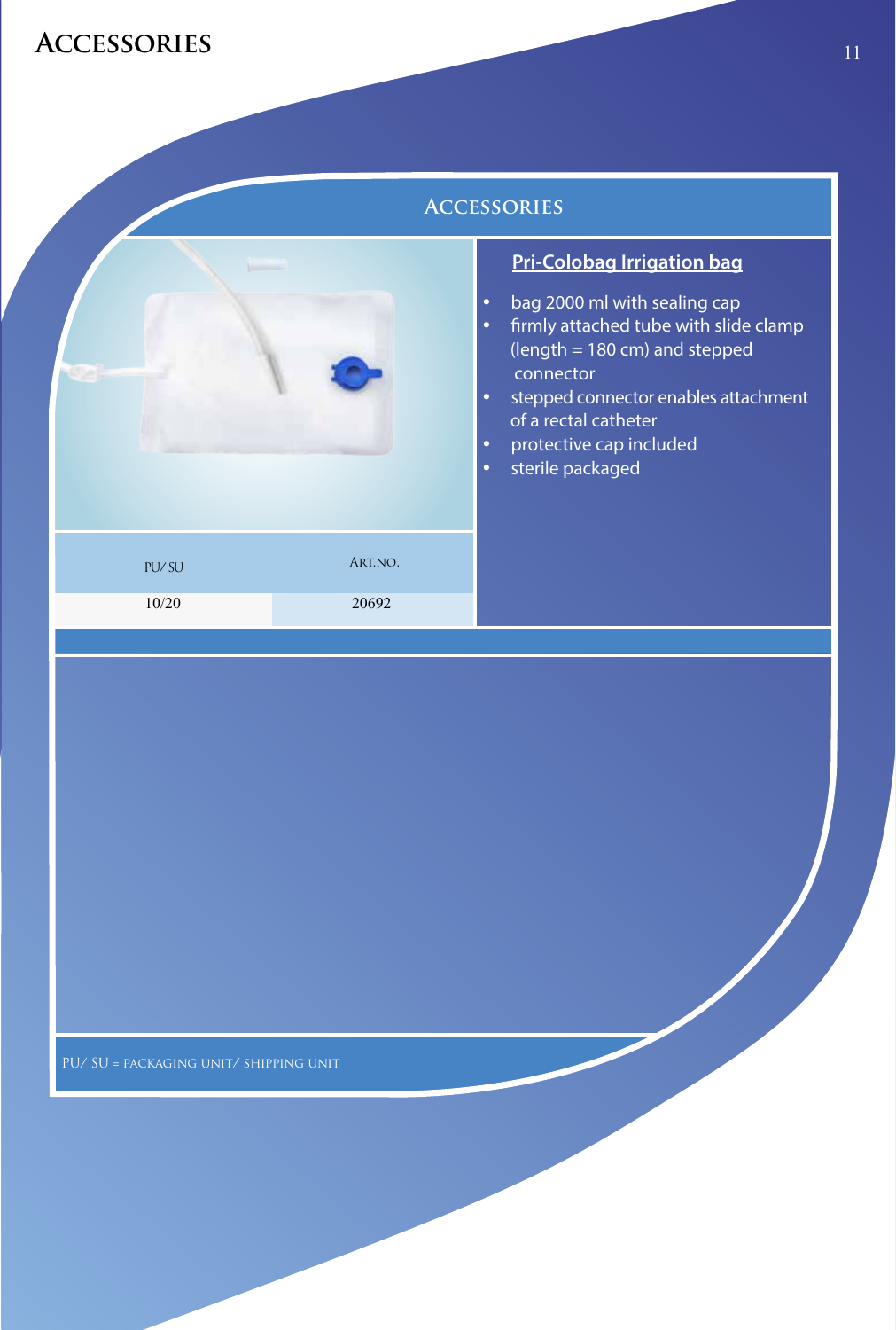## **Accessories**

#### **Accessories**

Art.no.

### **Pri-Colobag Irrigation bag**

- bag 2000 ml with sealing cap
- firmly attached tube with slide clamp (length = 180 cm) and stepped connector
- stepped connector enables attachment of a rectal catheter
- protective cap included
- sterile packaged

PU/ SU

10/20 20692